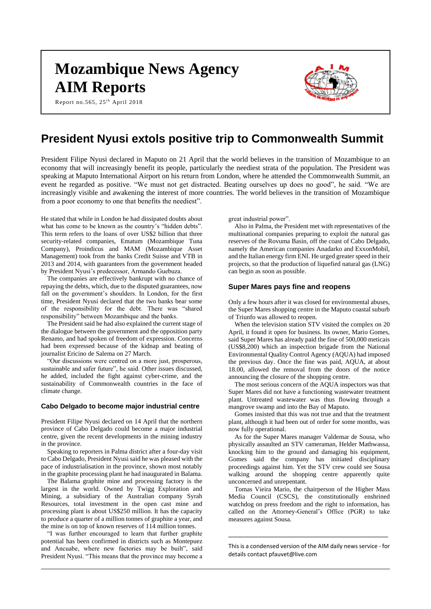# **Mozambique News Agency AIM Reports**

Report no.565, 25<sup>th</sup> April 2018



# **President Nyusi extols positive trip to Commonwealth Summit**

President Filipe Nyusi declared in Maputo on 21 April that the world believes in the transition of Mozambique to an economy that will increasingly benefit its people, particularly the neediest strata of the population. The President was speaking at Maputo International Airport on his return from London, where he attended the Commonwealth Summit, an event he regarded as positive. "We must not get distracted. Beating ourselves up does no good", he said. "We are increasingly visible and awakening the interest of more countries. The world believes in the transition of Mozambique from a poor economy to one that benefits the neediest".

He stated that while in London he had dissipated doubts about what has come to be known as the country's "hidden debts". This term refers to the loans of over US\$2 billion that three security-related companies, Ematum (Mozambique Tuna Company), Proindicus and MAM (Mozambique Asset Management) took from the banks Credit Suisse and VTB in 2013 and 2014, with guarantees from the government headed by President Nyusi's predecessor, Armando Guebuza.

The companies are effectively bankrupt with no chance of repaying the debts, which, due to the disputed guarantees, now fall on the government's shoulders. In London, for the first time, President Nyusi declared that the two banks bear some of the responsibility for the debt. There was "shared responsibility" between Mozambique and the banks.

The President said he had also explained the current stage of the dialogue between the government and the opposition party Renamo, and had spoken of freedom of expression. Concerns had been expressed because of the kidnap and beating of journalist Ericino de Salema on 27 March.

"Our discussions were centred on a more just, prosperous, sustainable and safer future", he said. Other issues discussed, he added, included the fight against cyber-crime, and the sustainability of Commonwealth countries in the face of climate change.

#### **Cabo Delgado to become major industrial centre**

President Filipe Nyusi declared on 14 April that the northern province of Cabo Delgado could become a major industrial centre, given the recent developments in the mining industry in the province.

Speaking to reporters in Palma district after a four-day visit to Cabo Delgado, President Nyusi said he was pleased with the pace of industrialisation in the province, shown most notably in the graphite processing plant he had inaugurated in Balama.

The Balama graphite mine and processing factory is the largest in the world. Owned by Twigg Exploration and Mining, a subsidiary of the Australian company Syrah Resources, total investment in the open cast mine and processing plant is about US\$250 million. It has the capacity to produce a quarter of a million tonnes of graphite a year, and the mine is on top of known reserves of 114 million tonnes.

"I was further encouraged to learn that further graphite potential has been confirmed in districts such as Montepuez and Ancuabe, where new factories may be built", said President Nyusi. "This means that the province may become a great industrial power".

Also in Palma, the President met with representatives of the multinational companies preparing to exploit the natural gas reserves of the Rovuma Basin, off the coast of Cabo Delgado, namely the American companies Anadarko and ExxonMobil, and the Italian energy firm ENI. He urged greater speed in their projects, so that the production of liquefied natural gas (LNG) can begin as soon as possible.

#### **Super Mares pays fine and reopens**

Only a few hours after it was closed for environmental abuses, the Super Mares shopping centre in the Maputo coastal suburb of Triunfo was allowed to reopen.

When the television station STV visited the complex on 20 April, it found it open for business. Its owner, Mario Gomes, said Super Mares has already paid the fine of 500,000 meticais (US\$8,200) which an inspection brigade from the National Environmental Quality Control Agency (AQUA) had imposed the previous day. Once the fine was paid, AQUA, at about 18.00, allowed the removal from the doors of the notice announcing the closure of the shopping centre.

The most serious concern of the AQUA inspectors was that Super Mares did not have a functioning wastewater treatment plant. Untreated wastewater was thus flowing through a mangrove swamp and into the Bay of Maputo.

Gomes insisted that this was not true and that the treatment plant, although it had been out of order for some months, was now fully operational.

As for the Super Mares manager Valdemar de Sousa, who physically assaulted an STV cameraman, Helder Mathwassa, knocking him to the ground and damaging his equipment, Gomes said the company has initiated disciplinary proceedings against him. Yet the STV crew could see Sousa walking around the shopping centre apparently quite unconcerned and unrepentant.

Tomas Vieira Mario, the chairperson of the Higher Mass Media Council (CSCS), the constitutionally enshrined watchdog on press freedom and the right to information, has called on the Attorney-General's Office (PGR) to take measures against Sousa.

This is a condensed version of the AIM daily news service - for details contac[t pfauvet@live.com](mailto:pfauvet@live.com)

**\_\_\_\_\_\_\_\_\_\_\_\_\_\_\_\_\_\_\_\_\_\_\_\_\_\_\_\_\_\_\_\_\_\_\_\_\_\_\_\_\_\_\_\_\_\_\_\_\_**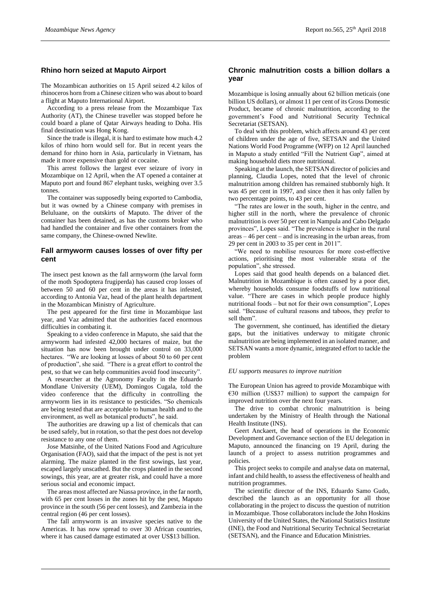# **Rhino horn seized at Maputo Airport**

The Mozambican authorities on 15 April seized 4.2 kilos of rhinoceros horn from a Chinese citizen who was about to board a flight at Maputo International Airport.

According to a press release from the Mozambique Tax Authority (AT), the Chinese traveller was stopped before he could board a plane of Qatar Airways heading to Doha. His final destination was Hong Kong.

Since the trade is illegal, it is hard to estimate how much 4.2 kilos of rhino horn would sell for. But in recent years the demand for rhino horn in Asia, particularly in Vietnam, has made it more expensive than gold or cocaine.

This arrest follows the largest ever seizure of ivory in Mozambique on 12 April, when the AT opened a container at Maputo port and found 867 elephant tusks, weighing over 3.5 tonnes.

The container was supposedly being exported to Cambodia, but it was owned by a Chinese company with premises in Beluluane, on the outskirts of Maputo. The driver of the container has been detained, as has the customs broker who had handled the container and five other containers from the same company, the Chinese-owned Newlite.

# **Fall armyworm causes losses of over fifty per cent**

The insect pest known as the fall armyworm (the larval form of the moth Spodoptera frugiperda) has caused crop losses of between 50 and 60 per cent in the areas it has infested, according to Antonia Vaz, head of the plant health department in the Mozambican Ministry of Agriculture.

The pest appeared for the first time in Mozambique last year, and Vaz admitted that the authorities faced enormous difficulties in combating it.

Speaking to a video conference in Maputo, she said that the armyworm had infested 42,000 hectares of maize, but the situation has now been brought under control on 33,000 hectares. "We are looking at losses of about 50 to 60 per cent of production", she said. "There is a great effort to control the pest, so that we can help communities avoid food insecurity".

A researcher at the Agronomy Faculty in the Eduardo Mondlane University (UEM), Domingos Cugala, told the video conference that the difficulty in controlling the armyworm lies in its resistance to pesticides. "So chemicals are being tested that are acceptable to human health and to the environment, as well as botanical products", he said.

The authorities are drawing up a list of chemicals that can be used safely, but in rotation, so that the pest does not develop resistance to any one of them.

Jose Matsinhe, of the United Nations Food and Agriculture Organisation (FAO), said that the impact of the pest is not yet alarming. The maize planted in the first sowings, last year, escaped largely unscathed. But the crops planted in the second sowings, this year, are at greater risk, and could have a more serious social and economic impact.

The areas most affected are Niassa province, in the far north, with 65 per cent losses in the zones hit by the pest, Maputo province in the south (56 per cent losses), and Zambezia in the central region (46 per cent losses).

The fall armyworm is an invasive species native to the Americas. It has now spread to over 30 African countries, where it has caused damage estimated at over US\$13 billion.

# **Chronic malnutrition costs a billion dollars a year**

Mozambique is losing annually about 62 billion meticais (one billion US dollars), or almost 11 per cent of its Gross Domestic Product, became of chronic malnutrition, according to the government's Food and Nutritional Security Technical Secretariat (SETSAN).

To deal with this problem, which affects around 43 per cent of children under the age of five, SETSAN and the United Nations World Food Programme (WFP) on 12 April launched in Maputo a study entitled "Fill the Nutrient Gap", aimed at making household diets more nutritional.

Speaking at the launch, the SETSAN director of policies and planning, Claudia Lopes, noted that the level of chronic malnutrition among children has remained stubbornly high. It was 45 per cent in 1997, and since then it has only fallen by two percentage points, to 43 per cent.

"The rates are lower in the south, higher in the centre, and higher still in the north, where the prevalence of chronic malnutrition is over 50 per cent in Nampula and Cabo Delgado provinces", Lopes said. "The prevalence is higher in the rural areas – 46 per cent – and is increasing in the urban areas, from 29 per cent in 2003 to 35 per cent in 2011".

"We need to mobilise resources for more cost-effective actions, prioritising the most vulnerable strata of the population", she stressed.

Lopes said that good health depends on a balanced diet. Malnutrition in Mozambique is often caused by a poor diet, whereby households consume foodstuffs of low nutritional value. "There are cases in which people produce highly nutritional foods – but not for their own consumption", Lopes said. "Because of cultural reasons and taboos, they prefer to sell them".

The government, she continued, has identified the dietary gaps, but the initiatives underway to mitigate chronic malnutrition are being implemented in an isolated manner, and SETSAN wants a more dynamic, integrated effort to tackle the problem

#### *EU supports measures to improve nutrition*

The European Union has agreed to provide Mozambique with  $€30$  million (US\$37 million) to support the campaign for improved nutrition over the next four years.

The drive to combat chronic malnutrition is being undertaken by the Ministry of Health through the National Health Institute (INS).

Geert Anckaert, the head of operations in the Economic Development and Governance section of the EU delegation in Maputo, announced the financing on 19 April, during the launch of a project to assess nutrition programmes and policies.

This project seeks to compile and analyse data on maternal, infant and child health, to assess the effectiveness of health and nutrition programmes.

The scientific director of the INS, Eduardo Samo Gudo, described the launch as an opportunity for all those collaborating in the project to discuss the question of nutrition in Mozambique. Those collaborators include the John Hoskins University of the United States, the National Statistics Institute (INE), the Food and Nutritional Security Technical Secretariat (SETSAN), and the Finance and Education Ministries.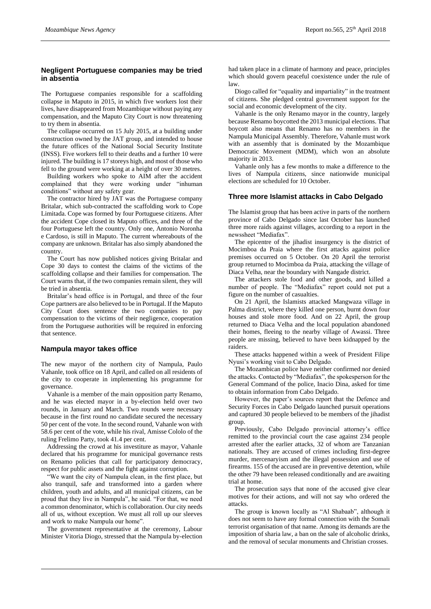### **Negligent Portuguese companies may be tried in absentia**

The Portuguese companies responsible for a scaffolding collapse in Maputo in 2015, in which five workers lost their lives, have disappeared from Mozambique without paying any compensation, and the Maputo City Court is now threatening to try them in absentia.

The collapse occurred on 15 July 2015, at a building under construction owned by the JAT group, and intended to house the future offices of the National Social Security Institute (INSS). Five workers fell to their deaths and a further 10 were injured. The building is 17 storeys high, and most of those who fell to the ground were working at a height of over 30 metres.

Building workers who spoke to AIM after the accident complained that they were working under "inhuman conditions" without any safety gear.

The contractor hired by JAT was the Portuguese company Britalar, which sub-contracted the scaffolding work to Cope Limitada. Cope was formed by four Portuguese citizens. After the accident Cope closed its Maputo offices, and three of the four Portuguese left the country. Only one, Antonio Noronha e Cardoso, is still in Maputo. The current whereabouts of the company are unknown. Britalar has also simply abandoned the country.

The Court has now published notices giving Britalar and Cope 30 days to contest the claims of the victims of the scaffolding collapse and their families for compensation. The Court warns that, if the two companies remain silent, they will be tried in absentia.

Britalar's head office is in Portugal, and three of the four Cope partners are also believed to be in Portugal. If the Maputo City Court does sentence the two companies to pay compensation to the victims of their negligence, cooperation from the Portuguese authorities will be required in enforcing that sentence.

#### **Nampula mayor takes office**

The new mayor of the northern city of Nampula, Paulo Vahanle, took office on 18 April, and called on all residents of the city to cooperate in implementing his programme for governance.

Vahanle is a member of the main opposition party Renamo, and he was elected mayor in a by-election held over two rounds, in January and March. Two rounds were necessary because in the first round no candidate secured the necessary 50 per cent of the vote. In the second round, Vahanle won with 58.6 per cent of the vote, while his rival, Amisse Cololo of the ruling Frelimo Party, took 41.4 per cent.

Addressing the crowd at his investiture as mayor, Vahanle declared that his programme for municipal governance rests on Renamo policies that call for participatory democracy, respect for public assets and the fight against corruption.

"We want the city of Nampula clean, in the first place, but also tranquil, safe and transformed into a garden where children, youth and adults, and all municipal citizens, can be proud that they live in Nampula", he said. "For that, we need a common denominator, which is collaboration. Our city needs all of us, without exception. We must all roll up our sleeves and work to make Nampula our home".

The government representative at the ceremony, Labour Minister Vitoria Diogo, stressed that the Nampula by-election

had taken place in a climate of harmony and peace, principles which should govern peaceful coexistence under the rule of law.

Diogo called for "equality and impartiality" in the treatment of citizens. She pledged central government support for the social and economic development of the city.

Vahanle is the only Renamo mayor in the country, largely because Renamo boycotted the 2013 municipal elections. That boycott also means that Renamo has no members in the Nampula Municipal Assembly. Therefore, Vahanle must work with an assembly that is dominated by the Mozambique Democratic Movement (MDM), which won an absolute majority in 2013.

Vahanle only has a few months to make a difference to the lives of Nampula citizens, since nationwide municipal elections are scheduled for 10 October.

#### **Three more Islamist attacks in Cabo Delgado**

The Islamist group that has been active in parts of the northern province of Cabo Delgado since last October has launched three more raids against villages, according to a report in the newssheet "Mediafax".

The epicentre of the jihadist insurgency is the district of Mocimboa da Praia where the first attacks against police premises occurred on 5 October. On 20 April the terrorist group returned to Mocimboa da Praia, attacking the village of Diaca Velha, near the boundary with Nangade district.

The attackers stole food and other goods, and killed a number of people. The "Mediafax" report could not put a figure on the number of casualties.

On 21 April, the Islamists attacked Mangwaza village in Palma district, where they killed one person, burnt down four houses and stole more food. And on 22 April, the group returned to Diaca Velha and the local population abandoned their homes, fleeing to the nearby village of Awassi. Three people are missing, believed to have been kidnapped by the raiders.

These attacks happened within a week of President Filipe Nyusi's working visit to Cabo Delgado.

The Mozambican police have neither confirmed nor denied the attacks. Contacted by "Mediafax", the spokesperson for the General Command of the police, Inacio Dina, asked for time to obtain information from Cabo Delgado.

However, the paper's sources report that the Defence and Security Forces in Cabo Delgado launched pursuit operations and captured 30 people believed to be members of the jihadist group.

Previously, Cabo Delgado provincial attorney's office remitted to the provincial court the case against 234 people arrested after the earlier attacks, 32 of whom are Tanzanian nationals. They are accused of crimes including first-degree murder, mercenaryism and the illegal possession and use of firearms. 155 of the accused are in preventive detention, while the other 79 have been released conditionally and are awaiting trial at home.

The prosecution says that none of the accused give clear motives for their actions, and will not say who ordered the attacks.

The group is known locally as "Al Shabaab", although it does not seem to have any formal connection with the Somali terrorist organisation of that name. Among its demands are the imposition of sharia law, a ban on the sale of alcoholic drinks, and the removal of secular monuments and Christian crosses.